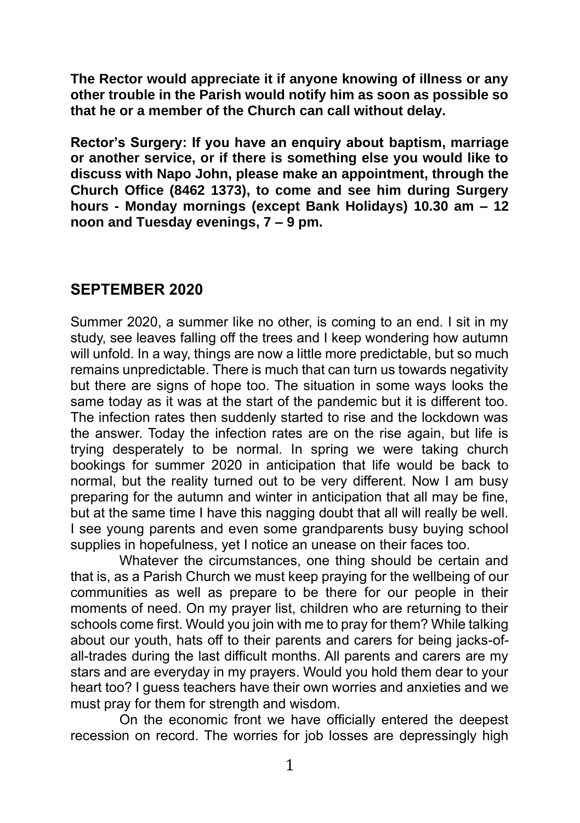**The Rector would appreciate it if anyone knowing of illness or any other trouble in the Parish would notify him as soon as possible so that he or a member of the Church can call without delay.**

**Rector's Surgery: If you have an enquiry about baptism, marriage or another service, or if there is something else you would like to discuss with Napo John, please make an appointment, through the Church Office (8462 1373), to come and see him during Surgery hours - Monday mornings (except Bank Holidays) 10.30 am – 12 noon and Tuesday evenings, 7 – 9 pm.**

### **SEPTEMBER 2020**

Summer 2020, a summer like no other, is coming to an end. I sit in my study, see leaves falling off the trees and I keep wondering how autumn will unfold. In a way, things are now a little more predictable, but so much remains unpredictable. There is much that can turn us towards negativity but there are signs of hope too. The situation in some ways looks the same today as it was at the start of the pandemic but it is different too. The infection rates then suddenly started to rise and the lockdown was the answer. Today the infection rates are on the rise again, but life is trying desperately to be normal. In spring we were taking church bookings for summer 2020 in anticipation that life would be back to normal, but the reality turned out to be very different. Now I am busy preparing for the autumn and winter in anticipation that all may be fine, but at the same time I have this nagging doubt that all will really be well. I see young parents and even some grandparents busy buying school supplies in hopefulness, yet I notice an unease on their faces too.

Whatever the circumstances, one thing should be certain and that is, as a Parish Church we must keep praying for the wellbeing of our communities as well as prepare to be there for our people in their moments of need. On my prayer list, children who are returning to their schools come first. Would you join with me to pray for them? While talking about our youth, hats off to their parents and carers for being jacks-ofall-trades during the last difficult months. All parents and carers are my stars and are everyday in my prayers. Would you hold them dear to your heart too? I guess teachers have their own worries and anxieties and we must pray for them for strength and wisdom.

On the economic front we have officially entered the deepest recession on record. The worries for job losses are depressingly high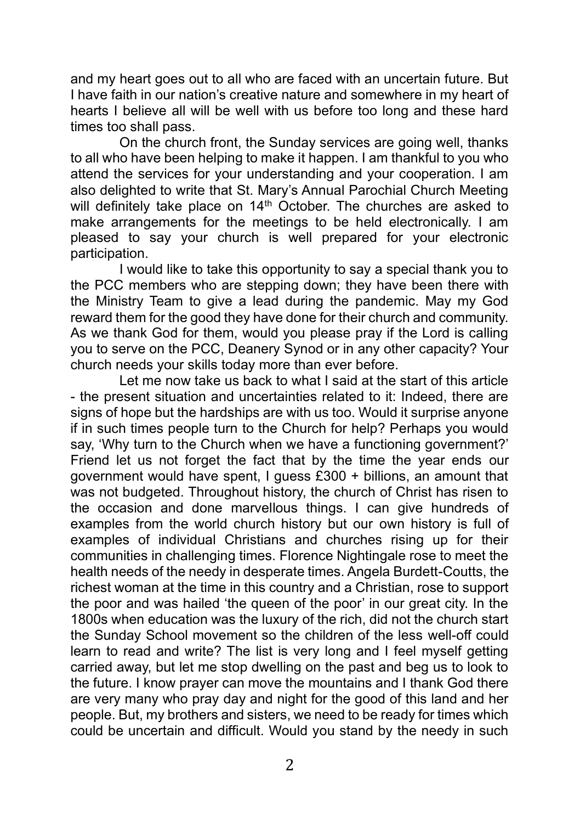and my heart goes out to all who are faced with an uncertain future. But I have faith in our nation's creative nature and somewhere in my heart of hearts I believe all will be well with us before too long and these hard times too shall pass.

On the church front, the Sunday services are going well, thanks to all who have been helping to make it happen. I am thankful to you who attend the services for your understanding and your cooperation. I am also delighted to write that St. Mary's Annual Parochial Church Meeting will definitely take place on 14<sup>th</sup> October. The churches are asked to make arrangements for the meetings to be held electronically. I am pleased to say your church is well prepared for your electronic participation.

I would like to take this opportunity to say a special thank you to the PCC members who are stepping down; they have been there with the Ministry Team to give a lead during the pandemic. May my God reward them for the good they have done for their church and community. As we thank God for them, would you please pray if the Lord is calling you to serve on the PCC, Deanery Synod or in any other capacity? Your church needs your skills today more than ever before.

Let me now take us back to what I said at the start of this article - the present situation and uncertainties related to it: Indeed, there are signs of hope but the hardships are with us too. Would it surprise anyone if in such times people turn to the Church for help? Perhaps you would say, 'Why turn to the Church when we have a functioning government?' Friend let us not forget the fact that by the time the year ends our government would have spent, I guess £300 + billions, an amount that was not budgeted. Throughout history, the church of Christ has risen to the occasion and done marvellous things. I can give hundreds of examples from the world church history but our own history is full of examples of individual Christians and churches rising up for their communities in challenging times. Florence Nightingale rose to meet the health needs of the needy in desperate times. Angela Burdett-Coutts, the richest woman at the time in this country and a Christian, rose to support the poor and was hailed 'the queen of the poor' in our great city. In the 1800s when education was the luxury of the rich, did not the church start the Sunday School movement so the children of the less well-off could learn to read and write? The list is very long and I feel myself getting carried away, but let me stop dwelling on the past and beg us to look to the future. I know prayer can move the mountains and I thank God there are very many who pray day and night for the good of this land and her people. But, my brothers and sisters, we need to be ready for times which could be uncertain and difficult. Would you stand by the needy in such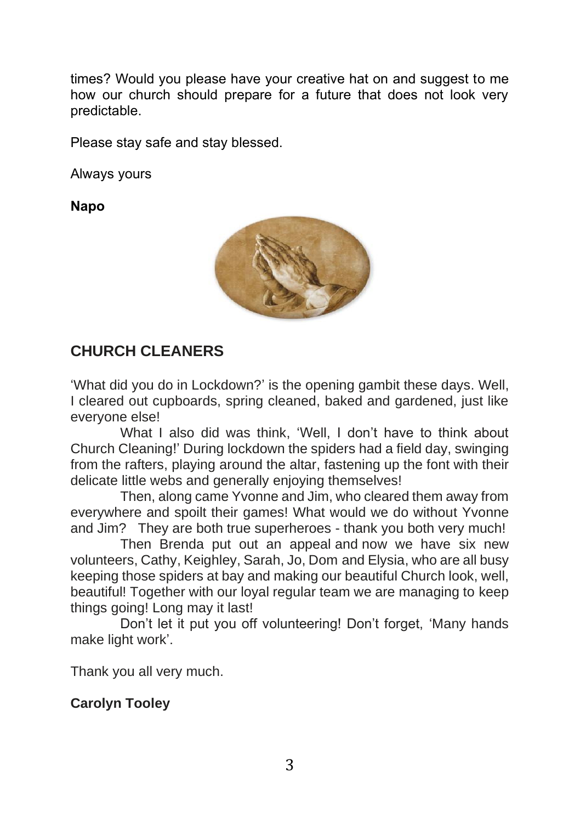times? Would you please have your creative hat on and suggest to me how our church should prepare for a future that does not look very predictable.

Please stay safe and stay blessed.

Always yours

**Napo**



# **CHURCH CLEANERS**

'What did you do in Lockdown?' is the opening gambit these days. Well, I cleared out cupboards, spring cleaned, baked and gardened, just like everyone else!

What I also did was think, 'Well, I don't have to think about Church Cleaning!' During lockdown the spiders had a field day, swinging from the rafters, playing around the altar, fastening up the font with their delicate little webs and generally enjoying themselves!

Then, along came Yvonne and Jim, who cleared them away from everywhere and spoilt their games! What would we do without Yvonne and Jim? They are both true superheroes - thank you both very much!

Then Brenda put out an appeal and now we have six new volunteers, Cathy, Keighley, Sarah, Jo, Dom and Elysia, who are all busy keeping those spiders at bay and making our beautiful Church look, well, beautiful! Together with our loyal regular team we are managing to keep things going! Long may it last!

Don't let it put you off volunteering! Don't forget, 'Many hands make light work'.

Thank you all very much.

#### **Carolyn Tooley**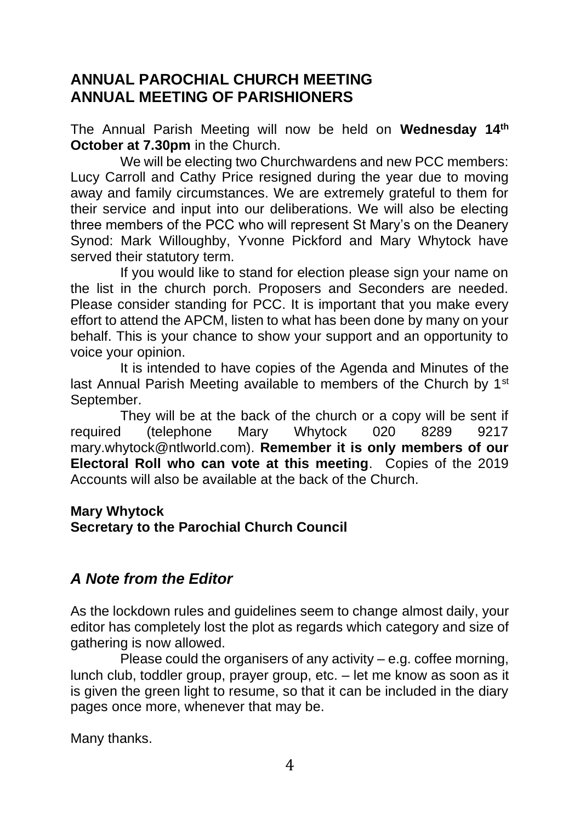## **ANNUAL PAROCHIAL CHURCH MEETING ANNUAL MEETING OF PARISHIONERS**

The Annual Parish Meeting will now be held on **Wednesday 14th October at 7.30pm** in the Church.

We will be electing two Churchwardens and new PCC members: Lucy Carroll and Cathy Price resigned during the year due to moving away and family circumstances. We are extremely grateful to them for their service and input into our deliberations. We will also be electing three members of the PCC who will represent St Mary's on the Deanery Synod: Mark Willoughby, Yvonne Pickford and Mary Whytock have served their statutory term.

If you would like to stand for election please sign your name on the list in the church porch. Proposers and Seconders are needed. Please consider standing for PCC. It is important that you make every effort to attend the APCM, listen to what has been done by many on your behalf. This is your chance to show your support and an opportunity to voice your opinion.

It is intended to have copies of the Agenda and Minutes of the last Annual Parish Meeting available to members of the Church by 1<sup>st</sup> September.

They will be at the back of the church or a copy will be sent if required (telephone Mary Whytock 020 8289 9217 mary.whytock@ntlworld.com). **Remember it is only members of our Electoral Roll who can vote at this meeting**. Copies of the 2019 Accounts will also be available at the back of the Church.

# **Mary Whytock**

**Secretary to the Parochial Church Council**

# *A Note from the Editor*

As the lockdown rules and guidelines seem to change almost daily, your editor has completely lost the plot as regards which category and size of gathering is now allowed.

Please could the organisers of any activity – e.g. coffee morning, lunch club, toddler group, prayer group, etc. – let me know as soon as it is given the green light to resume, so that it can be included in the diary pages once more, whenever that may be.

Many thanks.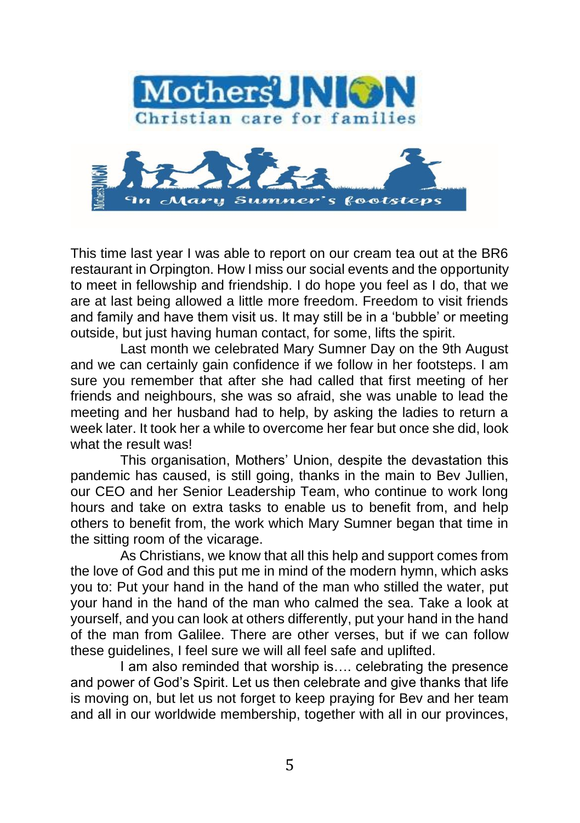

This time last year I was able to report on our cream tea out at the BR6 restaurant in Orpington. How I miss our social events and the opportunity to meet in fellowship and friendship. I do hope you feel as I do, that we are at last being allowed a little more freedom. Freedom to visit friends and family and have them visit us. It may still be in a 'bubble' or meeting outside, but just having human contact, for some, lifts the spirit.

Last month we celebrated Mary Sumner Day on the 9th August and we can certainly gain confidence if we follow in her footsteps. I am sure you remember that after she had called that first meeting of her friends and neighbours, she was so afraid, she was unable to lead the meeting and her husband had to help, by asking the ladies to return a week later. It took her a while to overcome her fear but once she did, look what the result was!

This organisation, Mothers' Union, despite the devastation this pandemic has caused, is still going, thanks in the main to Bev Jullien, our CEO and her Senior Leadership Team, who continue to work long hours and take on extra tasks to enable us to benefit from, and help others to benefit from, the work which Mary Sumner began that time in the sitting room of the vicarage.

As Christians, we know that all this help and support comes from the love of God and this put me in mind of the modern hymn, which asks you to: Put your hand in the hand of the man who stilled the water, put your hand in the hand of the man who calmed the sea. Take a look at yourself, and you can look at others differently, put your hand in the hand of the man from Galilee. There are other verses, but if we can follow these guidelines, I feel sure we will all feel safe and uplifted.

I am also reminded that worship is.... celebrating the presence and power of God's Spirit. Let us then celebrate and give thanks that life is moving on, but let us not forget to keep praying for Bev and her team and all in our worldwide membership, together with all in our provinces,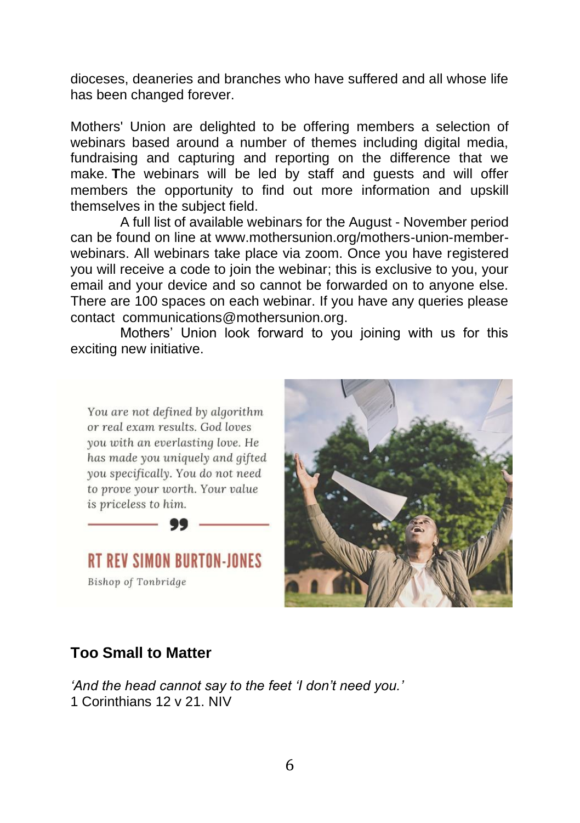dioceses, deaneries and branches who have suffered and all whose life has been changed forever.

Mothers' Union are delighted to be offering members a selection of webinars based around a number of themes including digital media, fundraising and capturing and reporting on the difference that we make. **T**he webinars will be led by staff and guests and will offer members the opportunity to find out more information and upskill themselves in the subject field.

A full list of available webinars for the August - November period can be found on line at www.mothersunion.org/mothers-union-memberwebinars. All webinars take place via zoom. Once you have registered you will receive a code to join the webinar; this is exclusive to you, your email and your device and so cannot be forwarded on to anyone else. There are 100 spaces on each webinar. If you have any queries please contact [communications@mothersunion.org.](mailto:communications@mothersunion.org)

Mothers' Union look forward to you joining with us for this exciting new initiative.

You are not defined by algorithm or real exam results. God loves you with an everlasting love. He has made you uniquely and gifted you specifically. You do not need to prove your worth. Your value is priceless to him.

**RT RFV SIMON BURTON-IONES Bishop of Tonbridge** 



#### **Too Small to Matter**

*'And the head cannot say to the feet 'I don't need you.'* 1 Corinthians 12 v 21. NIV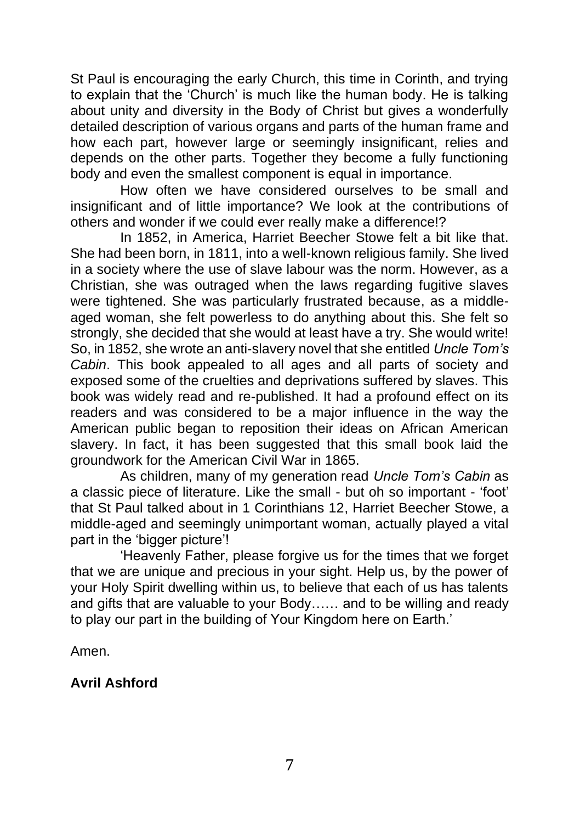St Paul is encouraging the early Church, this time in Corinth, and trying to explain that the 'Church' is much like the human body. He is talking about unity and diversity in the Body of Christ but gives a wonderfully detailed description of various organs and parts of the human frame and how each part, however large or seemingly insignificant, relies and depends on the other parts. Together they become a fully functioning body and even the smallest component is equal in importance.

How often we have considered ourselves to be small and insignificant and of little importance? We look at the contributions of others and wonder if we could ever really make a difference!?

In 1852, in America, Harriet Beecher Stowe felt a bit like that. She had been born, in 1811, into a well-known religious family. She lived in a society where the use of slave labour was the norm. However, as a Christian, she was outraged when the laws regarding fugitive slaves were tightened. She was particularly frustrated because, as a middleaged woman, she felt powerless to do anything about this. She felt so strongly, she decided that she would at least have a try. She would write! So, in 1852, she wrote an anti-slavery novel that she entitled *Uncle Tom's Cabin*. This book appealed to all ages and all parts of society and exposed some of the cruelties and deprivations suffered by slaves. This book was widely read and re-published. It had a profound effect on its readers and was considered to be a major influence in the way the American public began to reposition their ideas on African American slavery. In fact, it has been suggested that this small book laid the groundwork for the American Civil War in 1865.

As children, many of my generation read *Uncle Tom's Cabin* as a classic piece of literature. Like the small - but oh so important - 'foot' that St Paul talked about in 1 Corinthians 12, Harriet Beecher Stowe, a middle-aged and seemingly unimportant woman, actually played a vital part in the 'bigger picture'!

'Heavenly Father, please forgive us for the times that we forget that we are unique and precious in your sight. Help us, by the power of your Holy Spirit dwelling within us, to believe that each of us has talents and gifts that are valuable to your Body…… and to be willing and ready to play our part in the building of Your Kingdom here on Earth.'

Amen.

#### **Avril Ashford**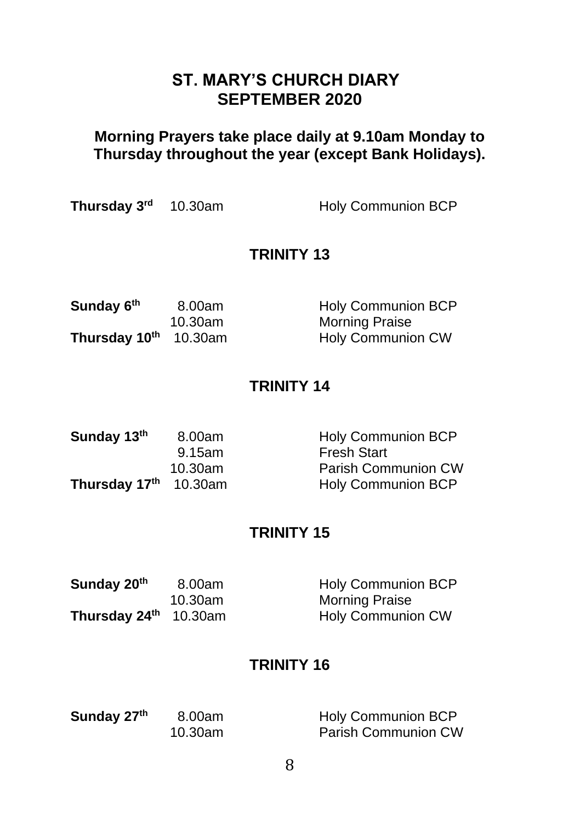# **ST. MARY'S CHURCH DIARY SEPTEMBER 2020**

## **Morning Prayers take place daily at 9.10am Monday to Thursday throughout the year (except Bank Holidays).**

| Thursday 3 <sup>rd</sup> 10.30am | <b>Holy Communion BCP</b> |
|----------------------------------|---------------------------|
|                                  |                           |

#### **TRINITY 13**

| Sunday 6th                        | 8.00am  | <b>Holy Communion BCP</b> |
|-----------------------------------|---------|---------------------------|
|                                   | 10.30am | <b>Morning Praise</b>     |
| Thursday 10 <sup>th</sup> 10.30am |         | <b>Holy Communion CW</b>  |

#### **TRINITY 14**

| Sunday 13th           | 8.00am  | <b>Holy Communion BCP</b> |
|-----------------------|---------|---------------------------|
|                       | 9.15am  | <b>Fresh Start</b>        |
|                       | 10.30am | Parish Communion CW       |
| Thursday 17th 10.30am |         | <b>Holy Communion BCP</b> |

## **TRINITY 15**

| Sunday 20 <sup>th</sup> | 8.00am  | <b>Holy Communion BCP</b> |
|-------------------------|---------|---------------------------|
|                         | 10.30am | <b>Morning Praise</b>     |
| Thursday 24th 10.30am   |         | <b>Holy Communion CW</b>  |

# **TRINITY 16**

| Sunday 27th | 8.00am  | <b>Holy Communion BCP</b> |
|-------------|---------|---------------------------|
|             | 10.30am | Parish Communion CW       |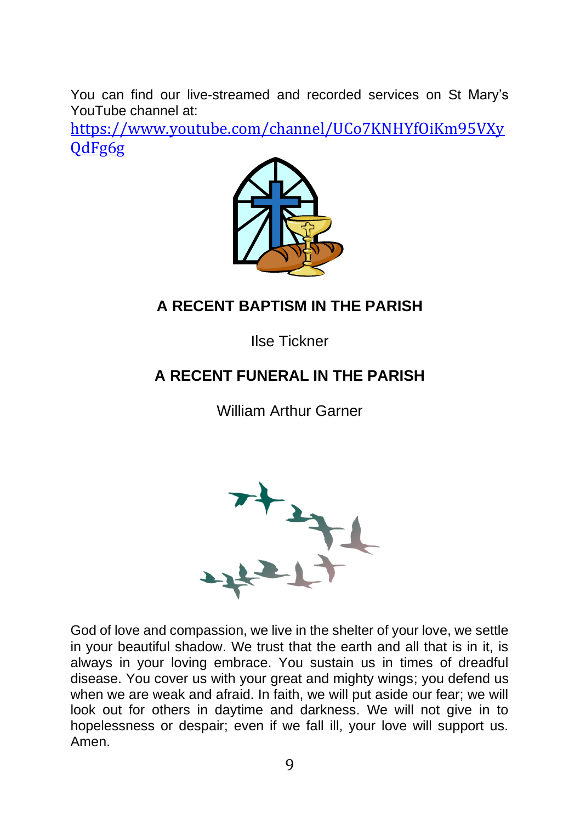You can find our live-streamed and recorded services on St Mary's YouTube channel at:

[https://www.youtube.com/channel/UCo7KNHYfOiKm95VXy](https://www.youtube.com/channel/UCo7KNHYfOiKm95VXyQdFg6g) [QdFg6g](https://www.youtube.com/channel/UCo7KNHYfOiKm95VXyQdFg6g)



# **A RECENT BAPTISM IN THE PARISH**

Ilse Tickner

# **A RECENT FUNERAL IN THE PARISH**

William Arthur Garner



God of love and compassion, we live in the shelter of your love, we settle in your beautiful shadow. We trust that the earth and all that is in it, is always in your loving embrace. You sustain us in times of dreadful disease. You cover us with your great and mighty wings; you defend us when we are weak and afraid. In faith, we will put aside our fear; we will look out for others in daytime and darkness. We will not give in to hopelessness or despair; even if we fall ill, your love will support us. Amen.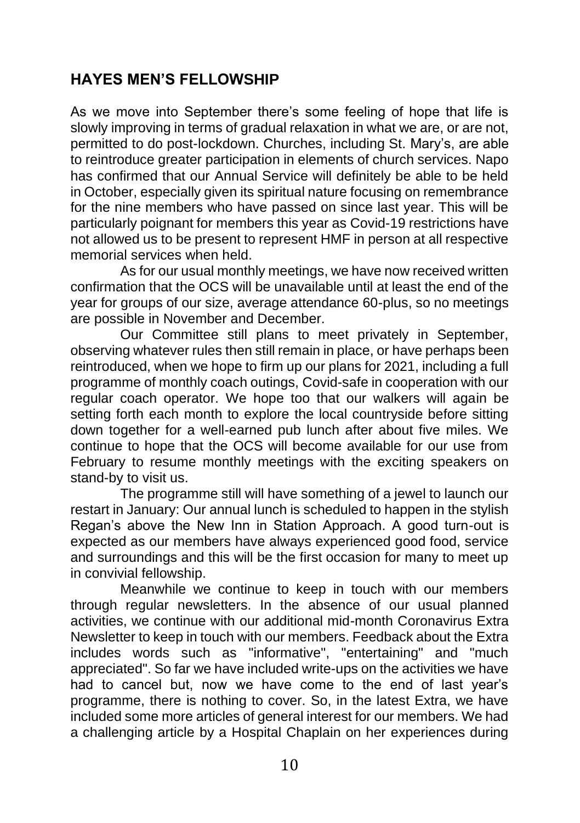# **HAYES MEN'S FELLOWSHIP**

As we move into September there's some feeling of hope that life is slowly improving in terms of gradual relaxation in what we are, or are not, permitted to do post-lockdown. Churches, including St. Mary's, are able to reintroduce greater participation in elements of church services. Napo has confirmed that our Annual Service will definitely be able to be held in October, especially given its spiritual nature focusing on remembrance for the nine members who have passed on since last year. This will be particularly poignant for members this year as Covid-19 restrictions have not allowed us to be present to represent HMF in person at all respective memorial services when held.

As for our usual monthly meetings, we have now received written confirmation that the OCS will be unavailable until at least the end of the year for groups of our size, average attendance 60-plus, so no meetings are possible in November and December.

Our Committee still plans to meet privately in September, observing whatever rules then still remain in place, or have perhaps been reintroduced, when we hope to firm up our plans for 2021, including a full programme of monthly coach outings, Covid-safe in cooperation with our regular coach operator. We hope too that our walkers will again be setting forth each month to explore the local countryside before sitting down together for a well-earned pub lunch after about five miles. We continue to hope that the OCS will become available for our use from February to resume monthly meetings with the exciting speakers on stand-by to visit us.

The programme still will have something of a jewel to launch our restart in January: Our annual lunch is scheduled to happen in the stylish Regan's above the New Inn in Station Approach. A good turn-out is expected as our members have always experienced good food, service and surroundings and this will be the first occasion for many to meet up in convivial fellowship.

Meanwhile we continue to keep in touch with our members through regular newsletters. In the absence of our usual planned activities, we continue with our additional mid-month Coronavirus Extra Newsletter to keep in touch with our members. Feedback about the Extra includes words such as "informative", "entertaining" and "much appreciated". So far we have included write-ups on the activities we have had to cancel but, now we have come to the end of last year's programme, there is nothing to cover. So, in the latest Extra, we have included some more articles of general interest for our members. We had a challenging article by a Hospital Chaplain on her experiences during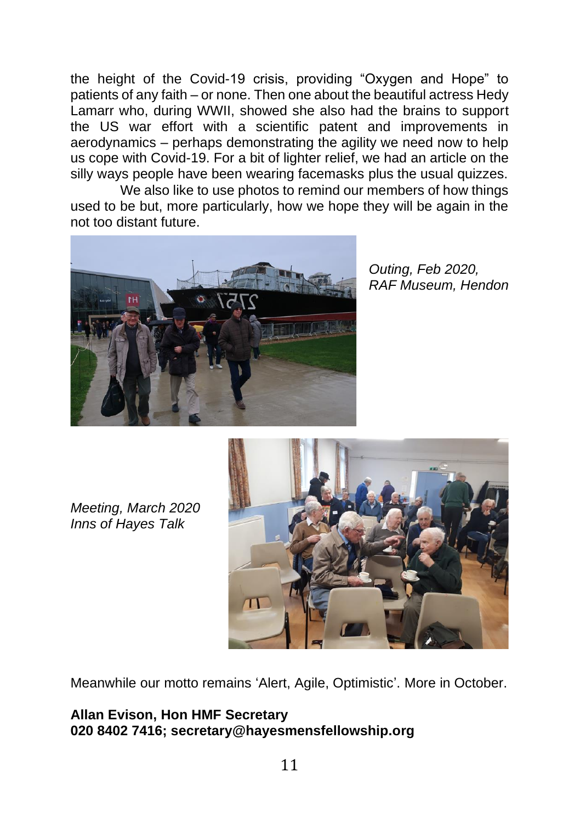the height of the Covid-19 crisis, providing "Oxygen and Hope" to patients of any faith – or none. Then one about the beautiful actress Hedy Lamarr who, during WWII, showed she also had the brains to support the US war effort with a scientific patent and improvements in aerodynamics – perhaps demonstrating the agility we need now to help us cope with Covid-19. For a bit of lighter relief, we had an article on the silly ways people have been wearing facemasks plus the usual quizzes.

We also like to use photos to remind our members of how things used to be but, more particularly, how we hope they will be again in the not too distant future.



*Outing, Feb 2020, RAF Museum, Hendon*

*Meeting, March 2020 Inns of Hayes Talk*



Meanwhile our motto remains 'Alert, Agile, Optimistic'. More in October.

**Allan Evison, Hon HMF Secretary 020 8402 7416; secretary@hayesmensfellowship.org**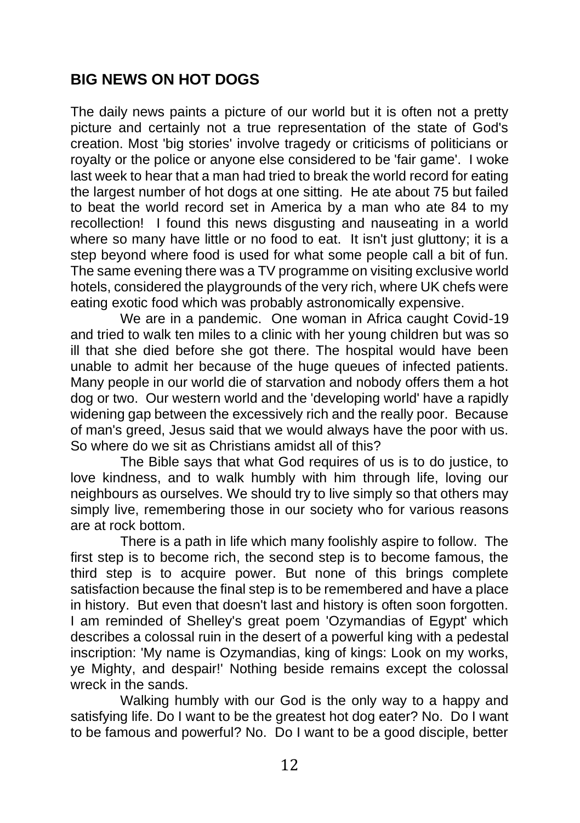## **BIG NEWS ON HOT DOGS**

The daily news paints a picture of our world but it is often not a pretty picture and certainly not a true representation of the state of God's creation. Most 'big stories' involve tragedy or criticisms of politicians or royalty or the police or anyone else considered to be 'fair game'. I woke last week to hear that a man had tried to break the world record for eating the largest number of hot dogs at one sitting. He ate about 75 but failed to beat the world record set in America by a man who ate 84 to my recollection! I found this news disgusting and nauseating in a world where so many have little or no food to eat. It isn't just gluttony; it is a step beyond where food is used for what some people call a bit of fun. The same evening there was a TV programme on visiting exclusive world hotels, considered the playgrounds of the very rich, where UK chefs were eating exotic food which was probably astronomically expensive.

We are in a pandemic. One woman in Africa caught Covid-19 and tried to walk ten miles to a clinic with her young children but was so ill that she died before she got there. The hospital would have been unable to admit her because of the huge queues of infected patients. Many people in our world die of starvation and nobody offers them a hot dog or two. Our western world and the 'developing world' have a rapidly widening gap between the excessively rich and the really poor. Because of man's greed, Jesus said that we would always have the poor with us. So where do we sit as Christians amidst all of this?

The Bible says that what God requires of us is to do justice, to love kindness, and to walk humbly with him through life, loving our neighbours as ourselves. We should try to live simply so that others may simply live, remembering those in our society who for various reasons are at rock bottom.

There is a path in life which many foolishly aspire to follow. The first step is to become rich, the second step is to become famous, the third step is to acquire power. But none of this brings complete satisfaction because the final step is to be remembered and have a place in history. But even that doesn't last and history is often soon forgotten. I am reminded of Shelley's great poem 'Ozymandias of Egypt' which describes a colossal ruin in the desert of a powerful king with a pedestal inscription: 'My name is Ozymandias, king of kings: Look on my works, ye Mighty, and despair!' Nothing beside remains except the colossal wreck in the sands.

Walking humbly with our God is the only way to a happy and satisfying life. Do I want to be the greatest hot dog eater? No. Do I want to be famous and powerful? No. Do I want to be a good disciple, better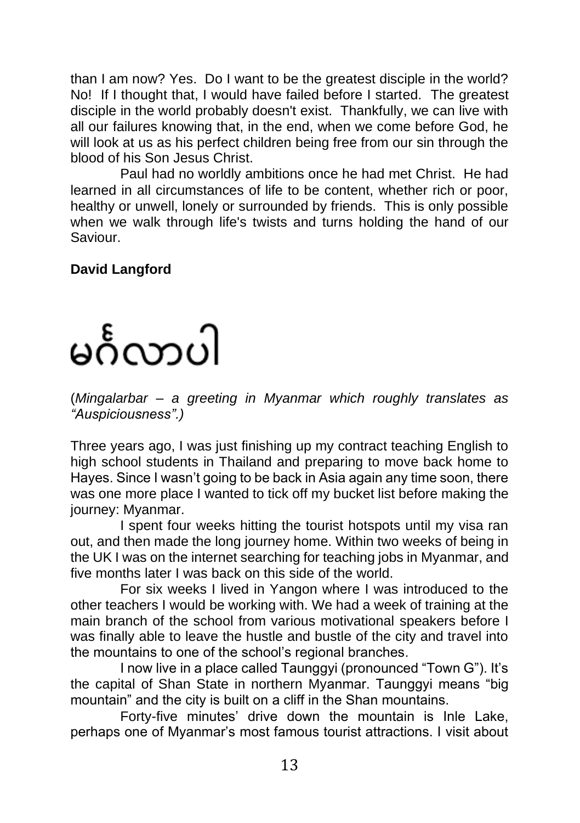than I am now? Yes. Do I want to be the greatest disciple in the world? No! If I thought that, I would have failed before I started. The greatest disciple in the world probably doesn't exist. Thankfully, we can live with all our failures knowing that, in the end, when we come before God, he will look at us as his perfect children being free from our sin through the blood of his Son Jesus Christ.

Paul had no worldly ambitions once he had met Christ. He had learned in all circumstances of life to be content, whether rich or poor, healthy or unwell, lonely or surrounded by friends. This is only possible when we walk through life's twists and turns holding the hand of our Saviour.

## **David Langford**

# မင်္ဂလာပါ

(*Mingalarbar – a greeting in Myanmar which roughly translates as "Auspiciousness".)*

Three years ago, I was just finishing up my contract teaching English to high school students in Thailand and preparing to move back home to Hayes. Since I wasn't going to be back in Asia again any time soon, there was one more place I wanted to tick off my bucket list before making the journey: Myanmar.

I spent four weeks hitting the tourist hotspots until my visa ran out, and then made the long journey home. Within two weeks of being in the UK I was on the internet searching for teaching jobs in Myanmar, and five months later I was back on this side of the world.

For six weeks I lived in Yangon where I was introduced to the other teachers I would be working with. We had a week of training at the main branch of the school from various motivational speakers before I was finally able to leave the hustle and bustle of the city and travel into the mountains to one of the school's regional branches.

I now live in a place called Taunggyi (pronounced "Town G"). It's the capital of Shan State in northern Myanmar. Taunggyi means "big mountain" and the city is built on a cliff in the Shan mountains.

Forty-five minutes' drive down the mountain is Inle Lake, perhaps one of Myanmar's most famous tourist attractions. I visit about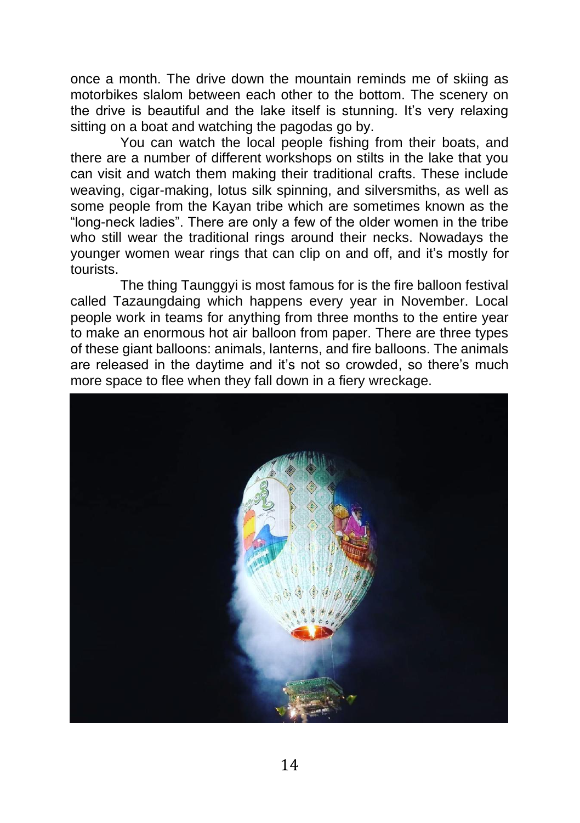once a month. The drive down the mountain reminds me of skiing as motorbikes slalom between each other to the bottom. The scenery on the drive is beautiful and the lake itself is stunning. It's very relaxing sitting on a boat and watching the pagodas go by.

You can watch the local people fishing from their boats, and there are a number of different workshops on stilts in the lake that you can visit and watch them making their traditional crafts. These include weaving, cigar-making, lotus silk spinning, and silversmiths, as well as some people from the Kayan tribe which are sometimes known as the "long-neck ladies". There are only a few of the older women in the tribe who still wear the traditional rings around their necks. Nowadays the younger women wear rings that can clip on and off, and it's mostly for tourists.

The thing Taunggyi is most famous for is the fire balloon festival called Tazaungdaing which happens every year in November. Local people work in teams for anything from three months to the entire year to make an enormous hot air balloon from paper. There are three types of these giant balloons: animals, lanterns, and fire balloons. The animals are released in the daytime and it's not so crowded, so there's much more space to flee when they fall down in a fiery wreckage.

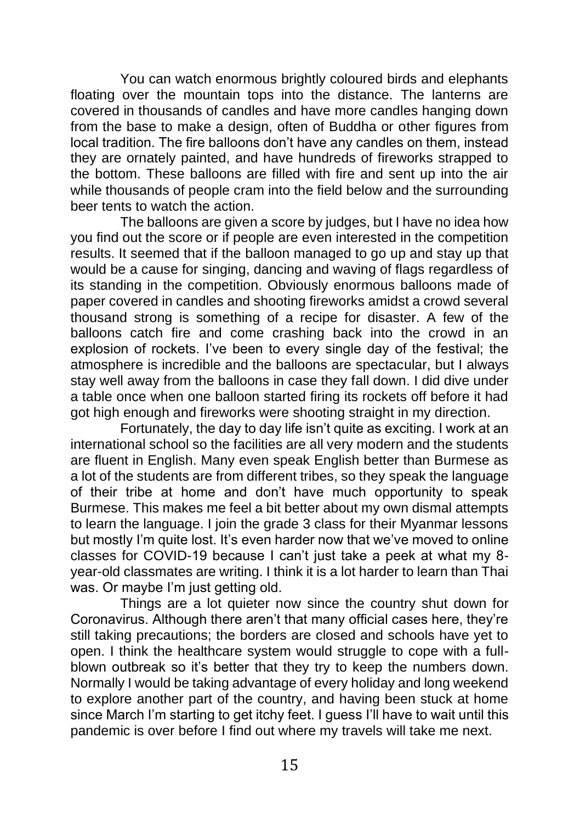You can watch enormous brightly coloured birds and elephants floating over the mountain tops into the distance. The lanterns are covered in thousands of candles and have more candles hanging down from the base to make a design, often of Buddha or other figures from local tradition. The fire balloons don't have any candles on them, instead they are ornately painted, and have hundreds of fireworks strapped to the bottom. These balloons are filled with fire and sent up into the air while thousands of people cram into the field below and the surrounding beer tents to watch the action.

The balloons are given a score by judges, but I have no idea how you find out the score or if people are even interested in the competition results. It seemed that if the balloon managed to go up and stay up that would be a cause for singing, dancing and waving of flags regardless of its standing in the competition. Obviously enormous balloons made of paper covered in candles and shooting fireworks amidst a crowd several thousand strong is something of a recipe for disaster. A few of the balloons catch fire and come crashing back into the crowd in an explosion of rockets. I've been to every single day of the festival; the atmosphere is incredible and the balloons are spectacular, but I always stay well away from the balloons in case they fall down. I did dive under a table once when one balloon started firing its rockets off before it had got high enough and fireworks were shooting straight in my direction.

Fortunately, the day to day life isn't quite as exciting. I work at an international school so the facilities are all very modern and the students are fluent in English. Many even speak English better than Burmese as a lot of the students are from different tribes, so they speak the language of their tribe at home and don't have much opportunity to speak Burmese. This makes me feel a bit better about my own dismal attempts to learn the language. I join the grade 3 class for their Myanmar lessons but mostly I'm quite lost. It's even harder now that we've moved to online classes for COVID-19 because I can't just take a peek at what my 8 year-old classmates are writing. I think it is a lot harder to learn than Thai was. Or maybe I'm just getting old.

Things are a lot quieter now since the country shut down for Coronavirus. Although there aren't that many official cases here, they're still taking precautions; the borders are closed and schools have yet to open. I think the healthcare system would struggle to cope with a fullblown outbreak so it's better that they try to keep the numbers down. Normally I would be taking advantage of every holiday and long weekend to explore another part of the country, and having been stuck at home since March I'm starting to get itchy feet. I guess I'll have to wait until this pandemic is over before I find out where my travels will take me next.